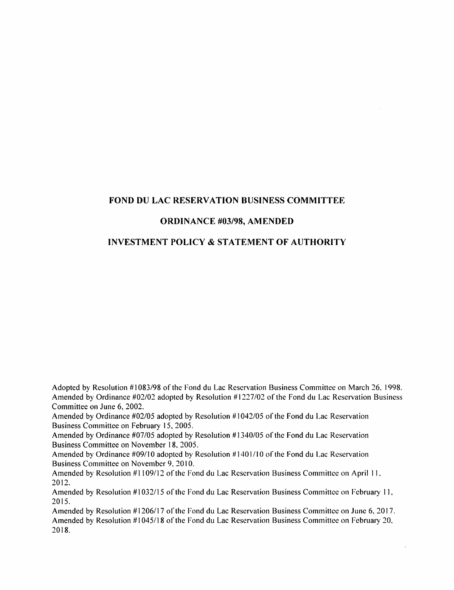## FOND DU LAC RESERVATION BUSINESS COMMITTEE

## ORDINANCE #03/98, AMENDED

# INVESTMENT POLICY & STATEMENT OF AUTHORITY

Adopted by Resolution #1083/98 ofthe Fond du Lac Reservation Business Committee on March 26. 1998. Amended by Ordinance  $\text{\#}02/02$  adopted by Resolution  $\text{\#}1227/02$  of the Fond du Lac Reservation Business Committee on June 6, 2002.

Amended by Ordinance #02/05 adopted by Resolution #1042/05 ofthe Fond du Lac Reservation Business Committee on February 15, 2005.

Amended by Ordinance #07/05 adopted by Resolution #1340/05 of the Fond du Lac Reservation Business Committee on November 18, 2005.

Amended by Ordinance #09/10 adopted by Resolution #1401/10 of the Fond du Lac Reservation Business Committee on November 9, 2010.

Amended by Resolution #1109/12 of the Fond du Lac Reservation Business Committee on April 11. 2012.

Amended by Resolution #1032/15 ofthe Fond du Lae Reservation Business Committee on February 11, 2015.

Amended by Resolution #1206/17 of the Fond du Lac Reservation Business Committee on June 6, 2017. Amended by Resolution #1045/18 of the Fond du Lac Reservation Business Committee on February 20, 2018.

 $\ddot{\phantom{a}}$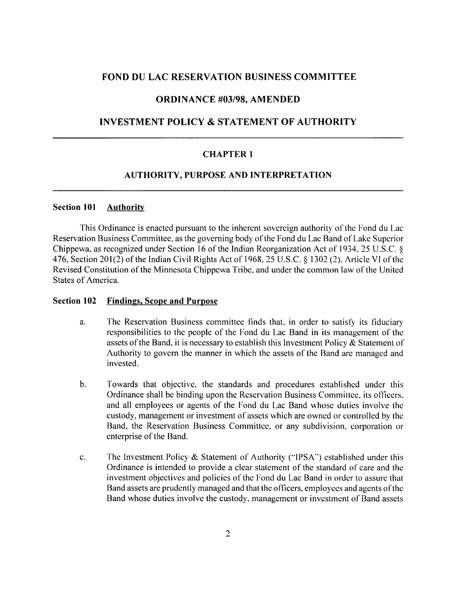### FOND DU LAC RESERVATION BUSINESS COMMITTEE

### ORDINANCE #03/98, AMENDED

## INVESTMENT POLICY & STATEMENT OF AUTHORITY

### CHAPTER 1

### AUTHORITY, PURPOSE AND INTERPRETATION

### Section 101 Authority

This Ordinance is enacted pursuant to the inherent sovereign authority of the Fond du Lac Reservation Business Committee, as the governing body of the Fond du Lac Band of Lake Superior Chippewa, as recognized under Section 16 of the Indian Reorganization Act of 1934. 25 U.S.C. § 476, Section 201(2) of the Indian Civil Rights Act of 1968, 25 U.S.C. § 1302 (2), Article VI of the Revised Constitution of the Minnesota Chippewa Tribe, and under the common law of the United States of America.

#### Section 102 Findings, Scope and Purpose

- a. The Reservation Business committee finds that, in order to satisfy its fiduciary responsibilities to the people of the Fond du Lac Band in its management of the assets of the Band, it is necessary to establish this Investment Policy  $\&$  Statement of Authority to govern the manner in which the assets of the Band arc managed and invested.
- b. Towards that objective, the standards and procedures established under this Ordinance shall be binding upon the Reservation Business Committee, its officers, and all employees or agents of the Fond du Lac Band whose duties involve the custody, management or investment of assets which are owned or controlled by the Band, the Reservation Business Committee, or any subdivision, corporation or enterprise of the Band.
- c. fhe Investment Policy & Statement of Authority ("IPSA") established under this Ordinance is intended to provide a clear statement of the standard of care and the investment objectives and policies of the Fond du Lac Band in order to assure that Band assets are prudently managed and that the officers, employees and agents of the Band whose duties involve the custody, management or investment of Band assets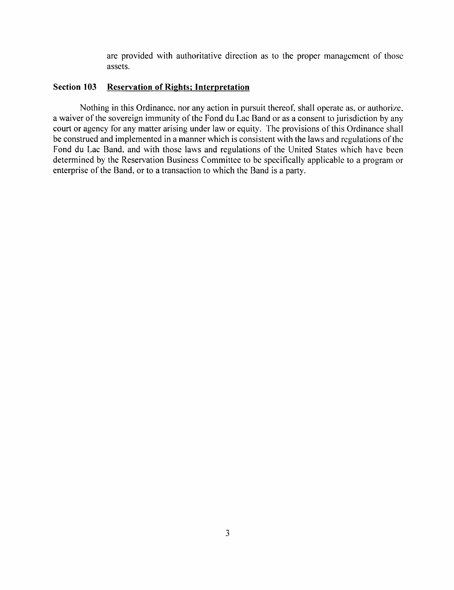are provided with authoritative direction as to the proper management of those assets.

## Section 103 Reservation of Rights; Interpretation

Nothing in this Ordinance, nor any action in pursuit thereof, shall operate as, or authorize, a waiver of the sovereign immunity of the Fond du Lac Band or as a consent to jurisdiction by any court or agency for any matter arising under law or equity. The provisions of this Ordinance shall be construed and implemented in a manner which is consistent with the laws and regulations of the Fond du Lac Band, and with those laws and regulations of the United States which have been determined by the Reservation Business Committee to be specifically applicable to a program or enterprise of the Band, or to a transaction to which the Band is a party.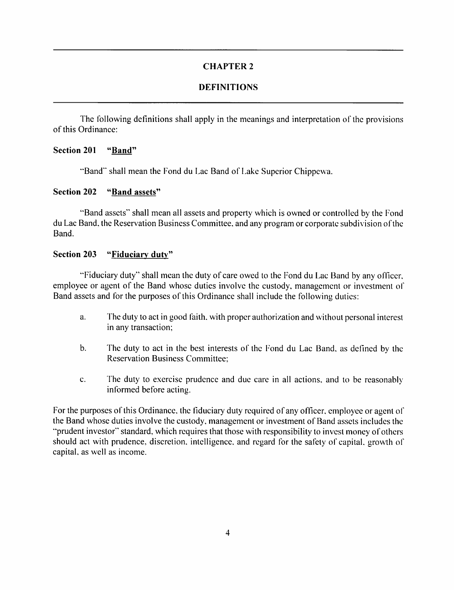# DEFINITIONS

The following definitions shall apply in the meanings and interpretation of the provisions of this Ordinance:

## Section 201 "Band"

"Band" shall mean the Fond du Lac Band of Lake Superior Chippewa.

## Section 202 "Band assets"

"Band assets" shall mean all assets and property which is owned or controlled by the Fond du Lac Band, the Reservation Business Committee, and any program or corporate subdivision ofthe Band.

## Section 203 "Fiduciary duty"

"Fiduciary duty" shall mean the duty of care owed to the Fond du Lac Band by any officer, employee or agent of the Band whose duties involve the custody, management or investment of Band assets and for the purposes of this Ordinance shall include the following duties:

- a. The duty to act in good faith, with proper authorization and without personal interest in any transaction;
- b. The duty to act in the best interests of the Fond du Lae Band, as defined by the Reservation Business Committee;
- c. The duty to exercise prudence and due care in all actions, and to be reasonably informed before acting.

For the purposes of this Ordinance, the fiduciary duty required of any officer, employee or agent of the Band whose duties involve the custody, management or investment of Band assets includes the "prudent investor" standard, which requires that those with responsibility to invest money of others should act with prudence, discretion, intelligence, and regard for the safety of capital, growth of capital, as well as income.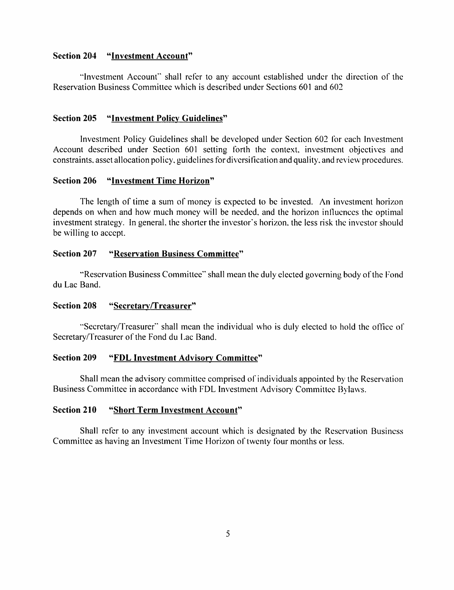### Section 204 "Investment Account'"

"Investment Account" shall refer to any account established under the direction of the Reservation Business Committee which is described under Sections 601 and 602

### Section 205 "Investment Policy Guidelines"

Investment Policy Guidelines shall be developed under Section 602 for each Investment Account described under Section 601 setting forth the context, investment objectives and constraints, asset allocation policy, guidelines for diversification and quality, and review procedures.

### Section 206 "Investment Time Horizon"

The length of time a sum of money is expected to be invested. An investment horizon depends on when and how much money will be needed, and the horizon influences the optimal investment strategy. In general, the shorter the investor's horizon, the less risk the investor should be willing to accept.

### Section 207 "Reservation Business Committee"

"Reservation Business Committee" shall mean the duly elected governing body of the Fond du Lac Band.

#### Section 208 "Secretary/Treasurer"

"Secretary/Treasurer" shall mean the individual who is duly elected to hold the office of Secretary/Treasurer of the Fond du Lac Band.

### Section 209 "FDL Investment Advisory Committee"

Shall mean the advisory committee comprised of individuals appointed by the Reservation Business Committee in accordance with FDL Investment Advisory Committee Bylaws.

## Section 210 "Short Term Investment Account"

Shall refer to any investment account which is designated by the Reservation Business Committee as having an Investment Time Florizon of twenty four months or less.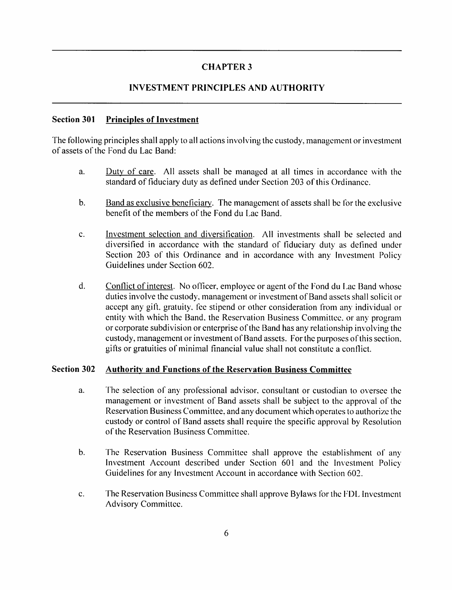# INVESTMENT PRINCIPLES AND AUTHORITY

## Section 301 Principles of Investment

The following principles shall apply to all actions involving the custody, management or investment of assets of the Fond du Lac Band:

- a. Dutv of care. All assets shall be managed at all times in accordance with the standard of fiduciary duty as defined under Section 203 of this Ordinance.
- b. Band as exclusive beneficiarv. The management of assets shall be for the exclusive benefit of the members of the Fond du Lac Band.
- c. Investment selection and diversification. All investments shall be selected and diversified in accordance with the standard of fiduciary duty as defined under Section 203 of this Ordinance and in accordance with any Investment Policy Guidelines under Section 602.
- d. Conflict of interest. No officer, employee or agent of the Fond du Lac Band whose duties involve the custody, management or investment of Band assets shall solicit or accept any gift, gratuity, fee stipend or other consideration from any individual or entity with which the Band, the Reservation Business Committee, or any program or corporate subdivision or enterprise of the Band has any relationship involving the custody, management or investment of Band assets. For the purposes of this section, gifts or gratuities of minimal financial value shall not constitute a conflict.

## Section 302 Authority and Functions of the Reservation Business Committee

- a. The selection of any professional advisor, consultant or custodian to oversee the management or investment of Band assets shall be subject to the approval of the Reservation Business Committee, and any document which operates to authorize the custody or control of Band assets shall require the specific approval by Resolution of the Reservation Business Committee.
- b. The Reservation Business Committee shall approve the establishment of any Investment Account described under Section 601 and the Investment Policy Guidelines for any Investment Account in accordance with Section 602.
- c. The Reservation Business Committee shall approve Bylaws for the FDL Investment Advisory Committee.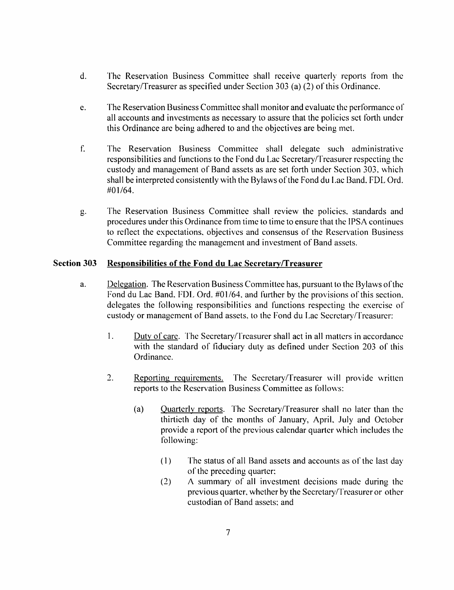- d. The Reservation Business Committee shall reeeive quarterly reports from the Secretary/Treasurer as specified under Section 303 (a) (2) of this Ordinance.
- e. The Reservation Business Committee shall monitor and evaluate the performance of all accounts and investments as necessary to assure that the policies set forth under this Ordinance are being adhered to and the objectives are being met.
- f. The Reservation Business Committee shall delegate such administrative responsibilities and functions to the Fond du Lac Secretary/Treasurer respecting the custody and management of Band assets as are set forth under Section 303. which shall be interpreted consistently with the Bylaws of the Fond du Lac Band. FDL Ord. #01/64.
- g. The Reservation Business Committee shall review the policies, standards and procedures under this Ordinance from time to time to ensure that the IPSA continues to reflect the expectations, objectives and consensus of the Reservation Business Committee regarding the management and investment of Band assets.

## Section 303 Responsibilities of the Fond du Lac Secretary/Treasurer

- a. Delegation. The Reservation Business Committee has, pursuant to the Bylaws ofthe Fond du Lac Band. FDL Ord. #01/64, and further by the provisions of this section, delegates the following responsibilities and functions respecting the exercise of custody or management of Band assets, to the Fond du Lac Secretary/Treasurer:
	- 1. Duty of care. The Secretary/Treasurer shall act in all matters in accordance with the standard of fiduciary duty as defined under Section 203 of this Ordinance.
	- 2. Reporting requirements. The Secretary/Treasurer will provide written reports to the Reservation Business Committee as follows:
		- (a) Ouarterlv reports. The Secretary/Treasurer shall no later than the thirtieth day of the months of January, April, July and October provide a report of the previous calendar quarter which includes the following:
			- (1) The status of all Band assets and accounts as of the last day of the preceding quarter:
			- (2) A summary of all investment decisions made during the previous quarter, whether by the Secretary/Treasurer or other custodian of Band assets; and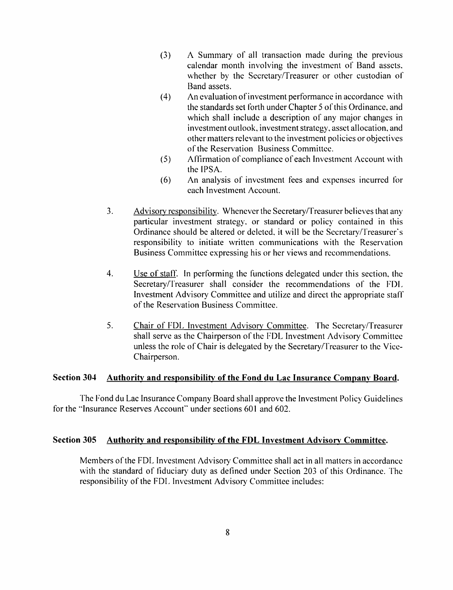- (3) A Summary of all transaction made during the previous calendar month involving the investment of Band assets, whether by the Secretary/Treasurer or other custodian of Band assets.
- (4) An evaluation ofinvestment performance in accordance with the standards set forth under Chapter 5 of this Ordinance, and which shall include a description of any major changes in investment outlook, investment strategy, asset allocation, and other matters relevant to the investment policies or objectives of the Reservation Business Committee.
- (5) Affirmation of compliance of each Investment Account with the IPSA.
- (6) An analysis of investment fees and expenses incurred for each Investment Account.
- 3. Advisorv responsibilitv. Whenever the Secretary/Treasurer believes that any particular investment strategy, or standard or policy contained in this Ordinance should be altered or deleted, it will be the Secretary/Treasurer's responsibility to initiate written communications with the Reservation Business Committee expressing his or her views and recommendations.
- 4. Use of staff. In performing the functions delegated under this section, the Secretary/Treasurer shall consider the recommendations of the FDL Investment Advisory Committee and utilize and direct the appropriate staff of the Reservation Business Committee.
- 5. Chair of FDL Investment Advisory Committee. The Secretary/Treasurer shall serve as the Chairperson of the FDL Investment Advisory Committee unless the role of Chair is delegated by the Secretary/Treasurer to the Vice-Chairperson.

## Section 304 Authority and responsibility of the Fond du Lac Insurance Company Board.

The Fond du Lac Insurance Company Board shall approve the Investment Policy Guidelines for the "Insurance Reserves Account" under sections 601 and 602.

## Section 305 Authority and responsibility of the FDL Investment Advisory Committee.

Members of the FDL Investment Advisory Committee shall act in all matters in accordance with the standard of fiduciary duty as defined under Section 203 of this Ordinance. The responsibility of the FDL Investment Advisory Committee includes: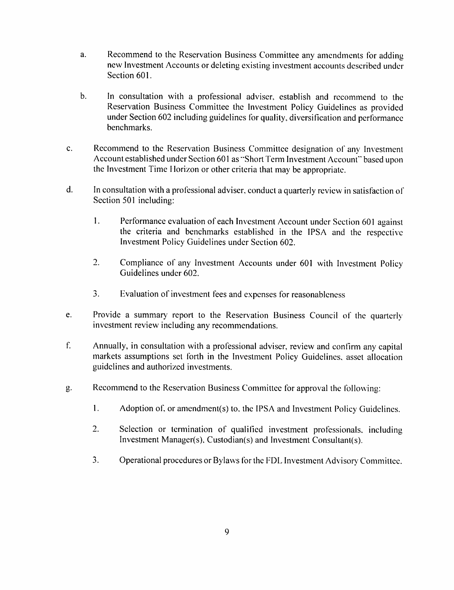- a. Recommend to the Reservation Business Committee any amendments for adding new Investment Accounts or deleting existing investment accounts described under Section 601.
- b. In consultation with a professional adviser, establish and recommend to the Reservation Business Committee the Investment Policy Guidelines as provided under Section 602 including guidelines for quality, diversification and performance benchmarks.
- c. Recommend to the Reservation Business Committee designation of any Investment Account established under Section 601 as "Short Term Investment Account" based upon the Investment Time Horizon or other criteria that may be appropriate.
- d. In consultation with a professional adviser, conduct a quarterly review in satisfaction of Section 501 including:
	- 1. Performance evaluation of each Investment Account under Section 601 against the criteria and benchmarks established in the IPSA and the respective Investment Policy Guidelines under Section 602.
	- 2. Compliance of any Investment Accounts under 601 with Investment Policy Guidelines under 602.
	- 3. Evaluation of investment fees and expenses for reasonableness
- e. Provide a summary report to the Reservation Business Council of the quarterly investment review including any recommendations.
- f. Annually, in consultation with a professional adviser, review and confirm any capital markets assumptions set forth in the Investment Policy Guidelines, asset allocation guidelines and authorized investments.
- g. Recommend to the Reservation Business Committee for approval the Ibllowing:
	- 1. Adoption of. or amendment(s) to. the IPSA and Investment Policy Guidelines.
	- 2. Selection or termination of qualified investment professionals, including Investment Manager(s). Custodian(s) and Investment Consultant{s).
	- 3. Operational procedures or Bylaws for the FDL Investment Advisory Committee.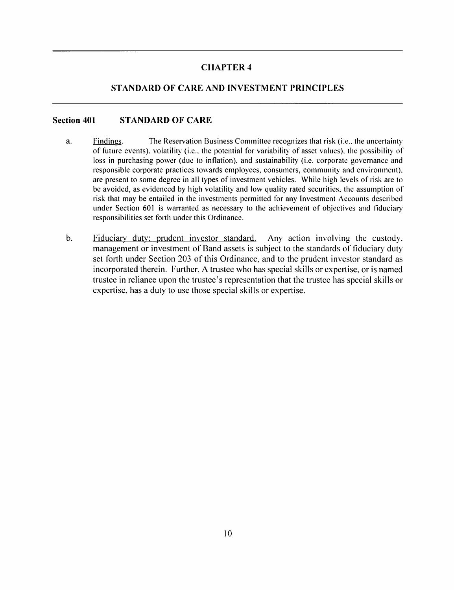## STANDARD OF CARE AND INVESTMENT PRINCIPLES

### Section 401 STANDARD OF CARE

- a. Findings. The Reservation Business Committee recognizes that risk (i.e., the uncertainty of future events), volatility (i.e.. the potential for variability of asset values), the possibility of loss in purchasing power (due to inflation), and sustainability (i.e. corporate governance and responsible corporate practices towards employees, consumers, community and environment), are present to some degree in all types of investment vehicles. While high levels of risk are to be avoided, as evidenced by high volatility and low quality rated securities, the assumption of risk that may be entailed in the investments permitted for any Investment Accounts described under Section 601 is warranted as necessary to the achievement of objectives and fiduciary responsibilities set forth under this Ordinance.
- b. Fiduciary duty: prudent investor standard. Any action involving the custody, management or investment of Band assets is subject to the standards of fiduciary dutyset forth under Section 203 of this Ordinance, and to the prudent investor standard as incorporated therein. Further, A trustee who has special skills or expertise, or is named trustee in reliance upon the trustee's representation that the trustee has special skills or expertise, has a duty to use those special skills or expertise.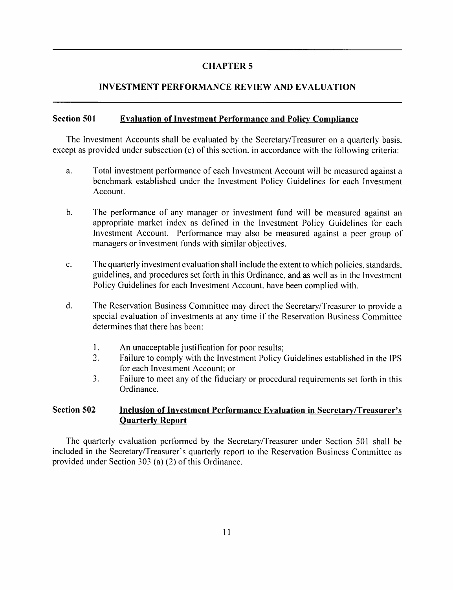# INVESTMENT PERFORMANCE REVIEW AND EVALUATION

## Section 501 Evaluation of Investment Performance and Policy Compliance

The Investment Accounts shall be evaluated by the Secretary/Treasurer on a quarterly basis, except as provided under subsection (c) of this section, in accordance with the following criteria:

- a. Total investment performance of each Investment Account will be measured against a benchmark established under the Investment Policy Guidelines for each Investment Account.
- b. The performance of any manager or investment fund will be measured against an appropriate market index as defined in the Investment Policy Guidelines for each Investment Account. Performance may also be measured against a peer group of managers or investment funds with similar objectives.
- c. The quarterly investment evaluation shall include the extent to which policies, standards, guidelines, and procedures set forth in this Ordinance, and as well as in the Investment Policy Guidelines for each Investment Account, have been complied with.
- d. The Reservation Business Committee may direct the Secretary/Treasurer to provide a special evaluation of investments at any time if the Reservation Business Committee determines that there has been:
	- 1. An unacceptable justification for poor results;
	- 2. Failure to comply with the Investment Policy Guidelines established in the IPS for each Investment Account; or
	- 3. Failure to meet any of the fiduciary or procedural requirements set forth in this Ordinance.

## Section 502 Inclusion of Investment Performance Evaluation in Secretary/Treasurer's Quarterly Report

The quarterly evaluation performed by the Secretary/Treasurer under Section 501 shall be included in the Secretary/Treasurer's quarterly report to the Reservation Business Committee as provided under Section  $303$  (a) (2) of this Ordinance.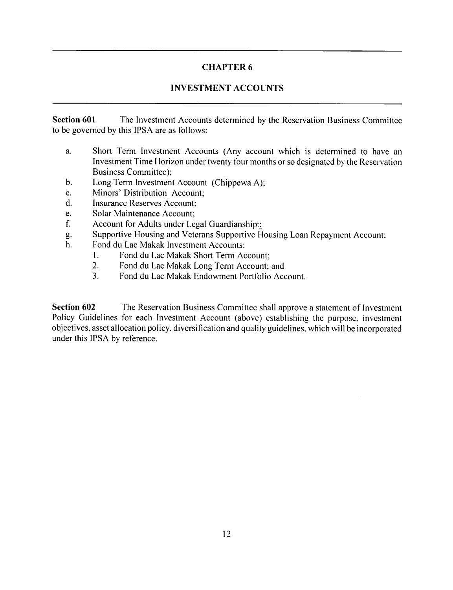# INVESTMENT ACCOUNTS

Section 601 The Investment Accounts determined by the Reservation Business Committee to be governed by this IPSA are as follows:

- a. Short Term Investment Accounts (Any account which is determined to have an Investment Time Horizon under twenty four months or so designated by the Reservation Business Committee);
- b. Long Term Investment Account (Chippewa A);
- c. Minors' Distribution Account;
- d. Insurance Reserves Account;
- e. Solar Maintenance Account;
- f. Account for Adults under Legal Guardianship?;
- g. Supportive Housing and Veterans Supportive Housing Loan Repayment Account:
- h. Fond du Lac Makak Investment Accounts:
	- 1. Fond du Lac Makak Short Term Account;
	- 2. Fond du Lac Makak Long Term Account; and
	- 3. Fond du Lac Makak Endowment Portfolio Account.

Section 602 The Reservation Business Committee shall approve a statement of Investment Policy Guidelines for each Investment Account (above) establishing the purpose, investment objectives, asset allocation policy, diversification and quality guidelines, which will be incorporated under this IPSA by reference.